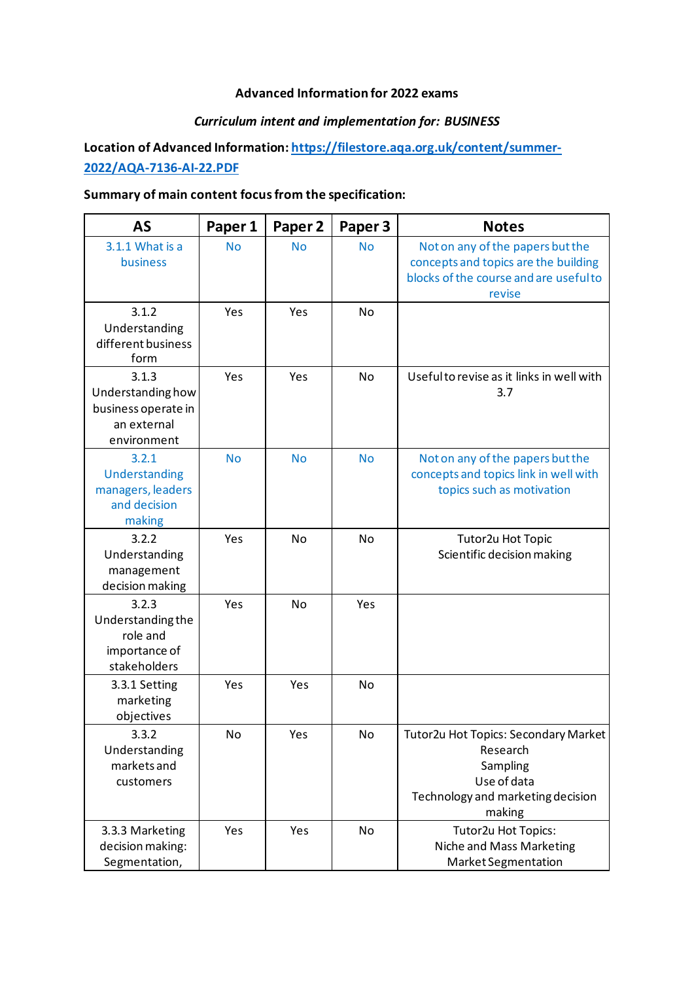## **Advanced Information for 2022 exams**

# *Curriculum intent and implementation for: BUSINESS*

# **Location of Advanced Information: https://filestore.aqa.org.uk/content/summer-2022/AQA-7136-AI-22.PDF**

# **Summary of main content focus from the specification:**

| <b>AS</b>                                                                       | Paper 1   | Paper <sub>2</sub> | Paper 3   | <b>Notes</b>                                                                                                                 |
|---------------------------------------------------------------------------------|-----------|--------------------|-----------|------------------------------------------------------------------------------------------------------------------------------|
| 3.1.1 What is a<br>business                                                     | <b>No</b> | <b>No</b>          | <b>No</b> | Not on any of the papers but the<br>concepts and topics are the building<br>blocks of the course and are useful to<br>revise |
| 3.1.2<br>Understanding<br>different business<br>form                            | Yes       | Yes                | No        |                                                                                                                              |
| 3.1.3<br>Understanding how<br>business operate in<br>an external<br>environment | Yes       | Yes                | No        | Useful to revise as it links in well with<br>3.7                                                                             |
| 3.2.1<br>Understanding<br>managers, leaders<br>and decision<br>making           | <b>No</b> | <b>No</b>          | <b>No</b> | Not on any of the papers but the<br>concepts and topics link in well with<br>topics such as motivation                       |
| 3.2.2<br>Understanding<br>management<br>decision making                         | Yes       | <b>No</b>          | <b>No</b> | Tutor2u Hot Topic<br>Scientific decision making                                                                              |
| 3.2.3<br>Understanding the<br>role and<br>importance of<br>stakeholders         | Yes       | <b>No</b>          | Yes       |                                                                                                                              |
| 3.3.1 Setting<br>marketing<br>objectives                                        | Yes       | Yes                | No        |                                                                                                                              |
| 3.3.2<br>Understanding<br>markets and<br>customers                              | No        | Yes                | No        | Tutor2u Hot Topics: Secondary Market<br>Research<br>Sampling<br>Use of data<br>Technology and marketing decision<br>making   |
| 3.3.3 Marketing<br>decision making:<br>Segmentation,                            | Yes       | Yes                | No        | Tutor2u Hot Topics:<br>Niche and Mass Marketing<br>Market Segmentation                                                       |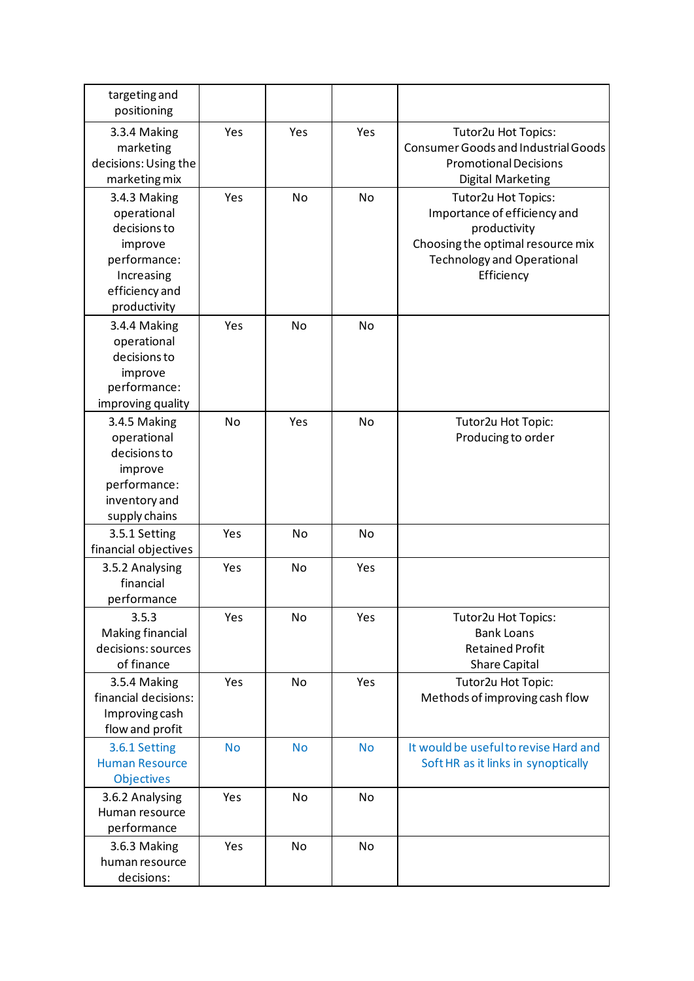| targeting and<br>positioning                                                                                           |           |           |           |                                                                                                                                                             |
|------------------------------------------------------------------------------------------------------------------------|-----------|-----------|-----------|-------------------------------------------------------------------------------------------------------------------------------------------------------------|
| 3.3.4 Making<br>marketing<br>decisions: Using the<br>marketing mix                                                     | Yes       | Yes       | Yes       | Tutor2u Hot Topics:<br><b>Consumer Goods and Industrial Goods</b><br><b>Promotional Decisions</b><br>Digital Marketing                                      |
| 3.4.3 Making<br>operational<br>decisions to<br>improve<br>performance:<br>Increasing<br>efficiency and<br>productivity | Yes       | No        | No        | Tutor2u Hot Topics:<br>Importance of efficiency and<br>productivity<br>Choosing the optimal resource mix<br><b>Technology and Operational</b><br>Efficiency |
| 3.4.4 Making<br>operational<br>decisions to<br>improve<br>performance:<br>improving quality                            | Yes       | <b>No</b> | No        |                                                                                                                                                             |
| 3.4.5 Making<br>operational<br>decisions to<br>improve<br>performance:<br>inventory and<br>supply chains               | No        | Yes       | No        | Tutor2u Hot Topic:<br>Producing to order                                                                                                                    |
| 3.5.1 Setting<br>financial objectives                                                                                  | Yes       | No        | No        |                                                                                                                                                             |
| 3.5.2 Analysing<br>financial<br>performance                                                                            | Yes       | <b>No</b> | Yes       |                                                                                                                                                             |
| 3.5.3<br>Making financial<br>decisions: sources<br>of finance                                                          | Yes       | No        | Yes       | Tutor2u Hot Topics:<br><b>Bank Loans</b><br><b>Retained Profit</b><br><b>Share Capital</b>                                                                  |
| 3.5.4 Making<br>financial decisions:<br>Improving cash<br>flow and profit                                              | Yes       | No        | Yes       | Tutor2u Hot Topic:<br>Methods of improving cash flow                                                                                                        |
| 3.6.1 Setting<br><b>Human Resource</b><br><b>Objectives</b>                                                            | <b>No</b> | <b>No</b> | <b>No</b> | It would be useful to revise Hard and<br>Soft HR as it links in synoptically                                                                                |
| 3.6.2 Analysing<br>Human resource<br>performance                                                                       | Yes       | No        | No        |                                                                                                                                                             |
| 3.6.3 Making<br>human resource<br>decisions:                                                                           | Yes       | No        | No        |                                                                                                                                                             |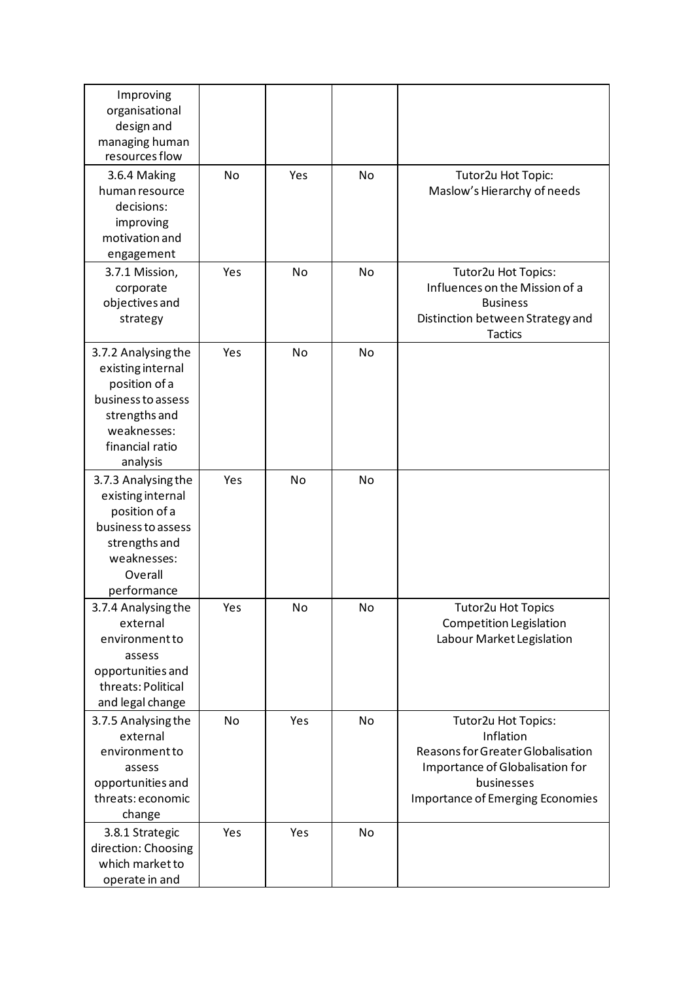| Improving<br>organisational<br>design and<br>managing human<br>resources flow                                                                  |     |     |    |                                                                                                                                                                   |
|------------------------------------------------------------------------------------------------------------------------------------------------|-----|-----|----|-------------------------------------------------------------------------------------------------------------------------------------------------------------------|
| 3.6.4 Making<br>human resource<br>decisions:<br>improving<br>motivation and<br>engagement                                                      | No  | Yes | No | Tutor2u Hot Topic:<br>Maslow's Hierarchy of needs                                                                                                                 |
| 3.7.1 Mission,<br>corporate<br>objectives and<br>strategy                                                                                      | Yes | No  | No | Tutor2u Hot Topics:<br>Influences on the Mission of a<br><b>Business</b><br>Distinction between Strategy and<br><b>Tactics</b>                                    |
| 3.7.2 Analysing the<br>existing internal<br>position of a<br>business to assess<br>strengths and<br>weaknesses:<br>financial ratio<br>analysis | Yes | No  | No |                                                                                                                                                                   |
| 3.7.3 Analysing the<br>existing internal<br>position of a<br>business to assess<br>strengths and<br>weaknesses:<br>Overall<br>performance      | Yes | No  | No |                                                                                                                                                                   |
| 3.7.4 Analysing the<br>external<br>environment to<br>assess<br>opportunities and<br>threats: Political<br>and legal change                     | Yes | No  | No | Tutor2u Hot Topics<br><b>Competition Legislation</b><br>Labour Market Legislation                                                                                 |
| 3.7.5 Analysing the<br>external<br>environment to<br>assess<br>opportunities and<br>threats: economic<br>change                                | No  | Yes | No | Tutor2u Hot Topics:<br>Inflation<br>Reasons for Greater Globalisation<br>Importance of Globalisation for<br>businesses<br><b>Importance of Emerging Economies</b> |
| 3.8.1 Strategic<br>direction: Choosing<br>which market to<br>operate in and                                                                    | Yes | Yes | No |                                                                                                                                                                   |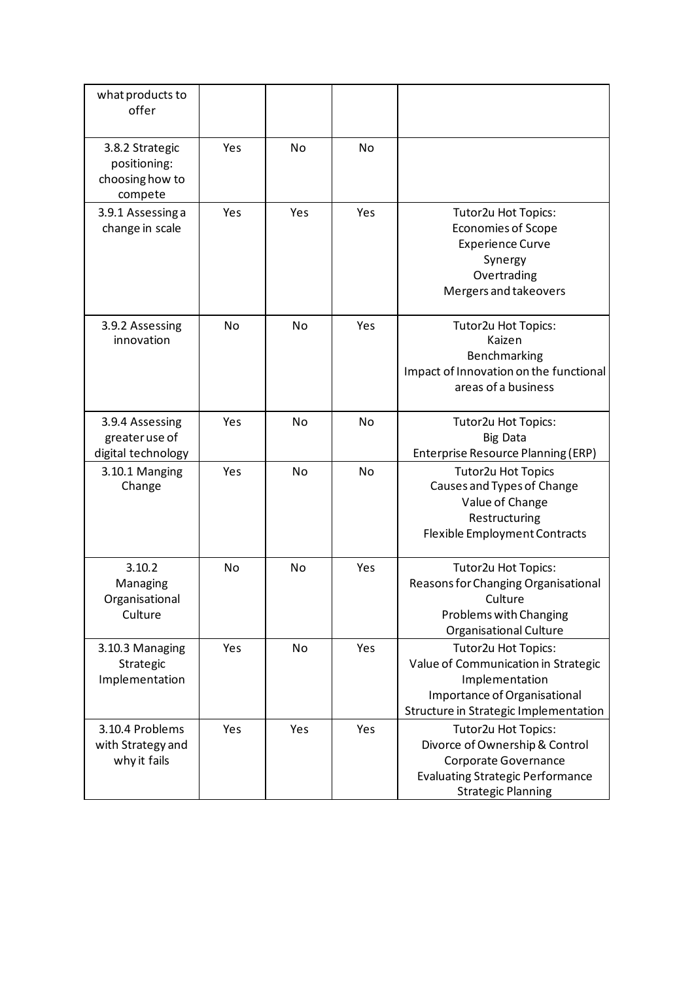| what products to<br>offer                                     |     |           |           |                                                                                                                                                       |
|---------------------------------------------------------------|-----|-----------|-----------|-------------------------------------------------------------------------------------------------------------------------------------------------------|
| 3.8.2 Strategic<br>positioning:<br>choosing how to<br>compete | Yes | No        | No        |                                                                                                                                                       |
| 3.9.1 Assessing a<br>change in scale                          | Yes | Yes       | Yes       | Tutor2u Hot Topics:<br><b>Economies of Scope</b><br><b>Experience Curve</b><br>Synergy<br>Overtrading<br>Mergers and takeovers                        |
| 3.9.2 Assessing<br>innovation                                 | No  | No        | Yes       | Tutor2u Hot Topics:<br>Kaizen<br>Benchmarking<br>Impact of Innovation on the functional<br>areas of a business                                        |
| 3.9.4 Assessing<br>greater use of<br>digital technology       | Yes | No        | No        | Tutor2u Hot Topics:<br><b>Big Data</b><br>Enterprise Resource Planning (ERP)                                                                          |
| 3.10.1 Manging<br>Change                                      | Yes | <b>No</b> | <b>No</b> | Tutor2u Hot Topics<br>Causes and Types of Change<br>Value of Change<br>Restructuring<br><b>Flexible Employment Contracts</b>                          |
| 3.10.2<br>Managing<br>Organisational<br>Culture               | No  | No        | Yes       | Tutor2u Hot Topics:<br>Reasons for Changing Organisational<br>Culture<br>Problems with Changing<br><b>Organisational Culture</b>                      |
| 3.10.3 Managing<br>Strategic<br>Implementation                | Yes | No        | Yes       | Tutor2u Hot Topics:<br>Value of Communication in Strategic<br>Implementation<br>Importance of Organisational<br>Structure in Strategic Implementation |
| 3.10.4 Problems<br>with Strategy and<br>why it fails          | Yes | Yes       | Yes       | Tutor2u Hot Topics:<br>Divorce of Ownership & Control<br>Corporate Governance<br><b>Evaluating Strategic Performance</b><br><b>Strategic Planning</b> |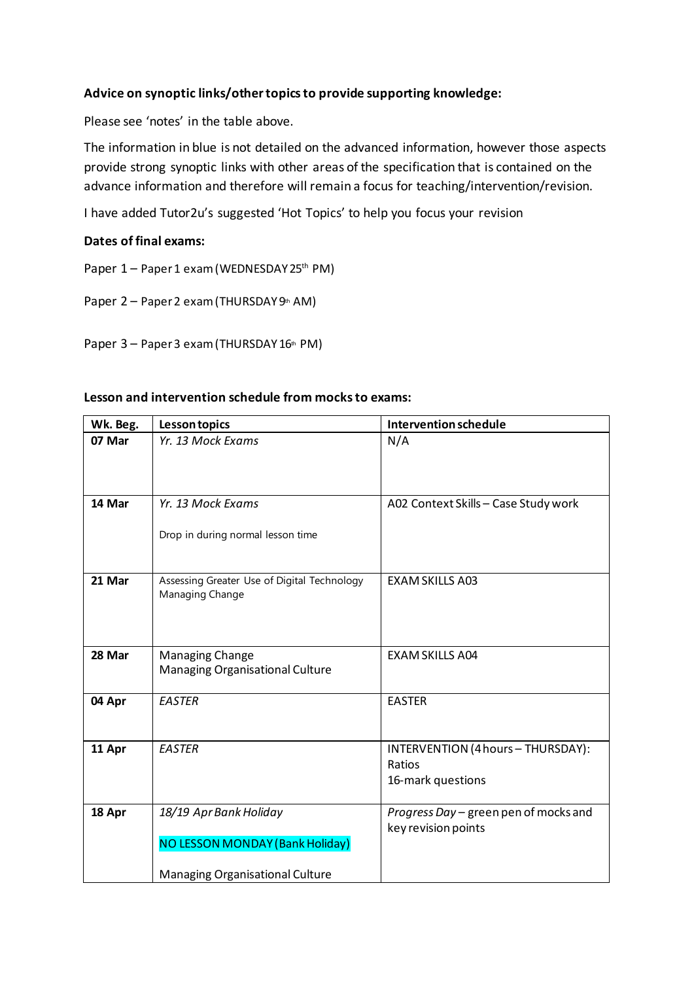## **Advice on synoptic links/other topics to provide supporting knowledge:**

Please see 'notes' in the table above.

The information in blue is not detailed on the advanced information, however those aspects provide strong synoptic links with other areas of the specification that is contained on the advance information and therefore will remain a focus for teaching/intervention/revision.

I have added Tutor2u's suggested 'Hot Topics' to help you focus your revision

#### **Dates of final exams:**

Paper 1 – Paper 1 exam (WEDNESDAY 25<sup>th</sup> PM)

Paper 2 – Paper 2 exam (THURSDAY9th AM)

Paper  $3 -$  Paper 3 exam (THURSDAY  $16<sup>th</sup>$  PM)

| Wk. Beg. | Lesson topics                                                                                       | <b>Intervention schedule</b>                                      |
|----------|-----------------------------------------------------------------------------------------------------|-------------------------------------------------------------------|
| 07 Mar   | Yr. 13 Mock Exams                                                                                   | N/A                                                               |
| 14 Mar   | Yr. 13 Mock Exams<br>Drop in during normal lesson time                                              | A02 Context Skills - Case Study work                              |
| 21 Mar   | Assessing Greater Use of Digital Technology<br>Managing Change                                      | <b>EXAM SKILLS A03</b>                                            |
| 28 Mar   | Managing Change<br>Managing Organisational Culture                                                  | <b>EXAM SKILLS A04</b>                                            |
| 04 Apr   | <b>EASTER</b>                                                                                       | <b>EASTER</b>                                                     |
| 11 Apr   | <b>EASTER</b>                                                                                       | INTERVENTION (4 hours - THURSDAY):<br>Ratios<br>16-mark questions |
| 18 Apr   | 18/19 Apr Bank Holiday<br><b>NO LESSON MONDAY (Bank Holiday)</b><br>Managing Organisational Culture | Progress Day - green pen of mocks and<br>key revision points      |

### **Lesson and intervention schedule from mocks to exams:**